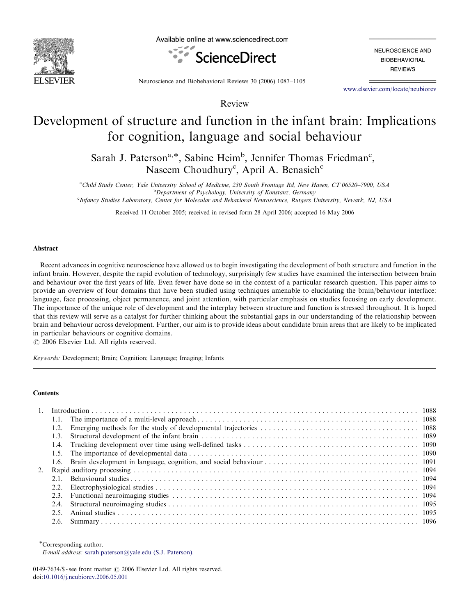

Available online at www.sciencedirect.com



NEUROSCIENCE AND **BIOBEHAVIORAL REVIEWS** 

Neuroscience and Biobehavioral Reviews 30 (2006) 1087–1105

<www.elsevier.com/locate/neubiorev>

# Development of structure and function in the infant brain: Implications for cognition, language and social behaviour

Review

Sarah J. Paterson<sup>a,\*</sup>, Sabine Heim<sup>b</sup>, Jennifer Thomas Friedman<sup>c</sup>, Naseem Choudhury<sup>c</sup>, April A. Benasich<sup>c</sup>

<sup>a</sup>Child Study Center, Yale University School of Medicine, 230 South Frontage Rd, New Haven, CT 06520-7900, USA <sup>b</sup>Department of Psychology, University of Konstanz, Germany

c Infancy Studies Laboratory, Center for Molecular and Behavioral Neuroscience, Rutgers University, Newark, NJ, USA

Received 11 October 2005; received in revised form 28 April 2006; accepted 16 May 2006

#### Abstract

Recent advances in cognitive neuroscience have allowed us to begin investigating the development of both structure and function in the infant brain. However, despite the rapid evolution of technology, surprisingly few studies have examined the intersection between brain and behaviour over the first years of life. Even fewer have done so in the context of a particular research question. This paper aims to provide an overview of four domains that have been studied using techniques amenable to elucidating the brain/behaviour interface: language, face processing, object permanence, and joint attention, with particular emphasis on studies focusing on early development. The importance of the unique role of development and the interplay between structure and function is stressed throughout. It is hoped that this review will serve as a catalyst for further thinking about the substantial gaps in our understanding of the relationship between brain and behaviour across development. Further, our aim is to provide ideas about candidate brain areas that are likely to be implicated in particular behaviours or cognitive domains.

 $\odot$  2006 Elsevier Ltd. All rights reserved.

Keywords: Development; Brain; Cognition; Language; Imaging; Infants

#### **Contents**

| $1_{\cdots}$ |      |  |
|--------------|------|--|
|              |      |  |
|              | 1.2. |  |
|              | 1.3. |  |
|              |      |  |
|              |      |  |
|              |      |  |
|              |      |  |
|              | 21   |  |
|              |      |  |
|              | 2.3  |  |
|              | 2.4. |  |
|              | 25   |  |
|              |      |  |

\*Corresponding author.

E-mail address: [sarah.paterson@yale.edu \(S.J. Paterson\).](mailto:sarah.paterson@yale.edu)

<sup>0149-7634/\$ -</sup> see front matter  $\odot$  2006 Elsevier Ltd. All rights reserved. doi:[10.1016/j.neubiorev.2006.05.001](dx.doi.org/10.1016/j.neubiorev.2006.05.001)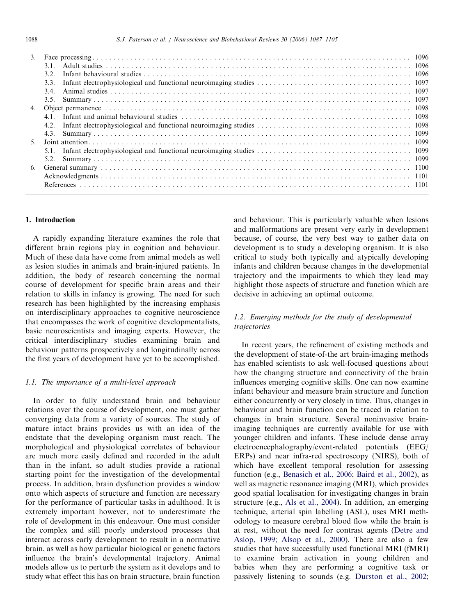|    | 3.2. |  |
|----|------|--|
|    |      |  |
|    |      |  |
|    |      |  |
| 4. |      |  |
|    |      |  |
|    |      |  |
|    |      |  |
|    |      |  |
|    |      |  |
|    |      |  |
|    |      |  |
|    |      |  |
|    |      |  |
|    |      |  |

### 1. Introduction

A rapidly expanding literature examines the role that different brain regions play in cognition and behaviour. Much of these data have come from animal models as well as lesion studies in animals and brain-injured patients. In addition, the body of research concerning the normal course of development for specific brain areas and their relation to skills in infancy is growing. The need for such research has been highlighted by the increasing emphasis on interdisciplinary approaches to cognitive neuroscience that encompasses the work of cognitive developmentalists, basic neuroscientists and imaging experts. However, the critical interdisciplinary studies examining brain and behaviour patterns prospectively and longitudinally across the first years of development have yet to be accomplished.

#### 1.1. The importance of a multi-level approach

In order to fully understand brain and behaviour relations over the course of development, one must gather converging data from a variety of sources. The study of mature intact brains provides us with an idea of the endstate that the developing organism must reach. The morphological and physiological correlates of behaviour are much more easily defined and recorded in the adult than in the infant, so adult studies provide a rational starting point for the investigation of the developmental process. In addition, brain dysfunction provides a window onto which aspects of structure and function are necessary for the performance of particular tasks in adulthood. It is extremely important however, not to underestimate the role of development in this endeavour. One must consider the complex and still poorly understood processes that interact across early development to result in a normative brain, as well as how particular biological or genetic factors influence the brain's developmental trajectory. Animal models allow us to perturb the system as it develops and to study what effect this has on brain structure, brain function and behaviour. This is particularly valuable when lesions and malformations are present very early in development because, of course, the very best way to gather data on development is to study a developing organism. It is also critical to study both typically and atypically developing infants and children because changes in the developmental trajectory and the impairments to which they lead may highlight those aspects of structure and function which are decisive in achieving an optimal outcome.

### 1.2. Emerging methods for the study of developmental trajectories

In recent years, the refinement of existing methods and the development of state-of-the art brain-imaging methods has enabled scientists to ask well-focused questions about how the changing structure and connectivity of the brain influences emerging cognitive skills. One can now examine infant behaviour and measure brain structure and function either concurrently or very closely in time. Thus, changes in behaviour and brain function can be traced in relation to changes in brain structure. Several noninvasive brainimaging techniques are currently available for use with younger children and infants. These include dense array electroencephalography/event-related potentials (EEG/ ERPs) and near infra-red spectroscopy (NIRS), both of which have excellent temporal resolution for assessing function (e.g., [Benasich et al., 2006;](#page--1-0) [Baird et al., 2002\)](#page--1-0), as well as magnetic resonance imaging (MRI), which provides good spatial localisation for investigating changes in brain structure (e.g., [Als et al., 2004](#page--1-0)). In addition, an emerging technique, arterial spin labelling (ASL), uses MRI methodology to measure cerebral blood flow while the brain is at rest, without the need for contrast agents [\(Detre and](#page--1-0) [Aslop, 1999;](#page--1-0) [Alsop et al., 2000](#page--1-0)). There are also a few studies that have successfully used functional MRI (fMRI) to examine brain activation in young children and babies when they are performing a cognitive task or passively listening to sounds (e.g. [Durston et al., 2002](#page--1-0);